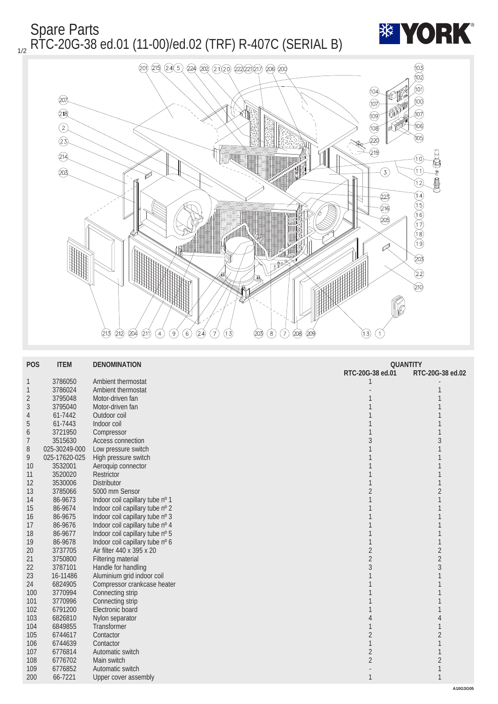## Spare Parts <sub>1/2</sub> RTC-20G-38 ed.01 (11-00)/ed.02 (TRF) R-407C (SERIAL B)





| <b>POS</b>       | <b>ITEM</b>   | <b>DENOMINATION</b>             | <b>QUANTITY</b>  |                  |
|------------------|---------------|---------------------------------|------------------|------------------|
|                  |               |                                 | RTC-20G-38 ed.01 | RTC-20G-38 ed.02 |
| $\mathbf{1}$     | 3786050       | Ambient thermostat              |                  |                  |
| $\mathbf{1}$     | 3786024       | Ambient thermostat              |                  |                  |
| $\boldsymbol{2}$ | 3795048       | Motor-driven fan                |                  |                  |
| 3                | 3795040       | Motor-driven fan                |                  |                  |
| 4                | 61-7442       | Outdoor coil                    |                  |                  |
| $\overline{5}$   | 61-7443       | Indoor coil                     |                  |                  |
| 6                | 3721950       | Compressor                      |                  |                  |
| 7                | 3515630       | <b>Access connection</b>        |                  |                  |
| 8                | 025-30249-000 | Low pressure switch             |                  |                  |
| 9                | 025-17620-025 | High pressure switch            |                  |                  |
| 10               | 3532001       | Aeroquip connector              |                  |                  |
| 11               | 3520020       | <b>Restrictor</b>               |                  |                  |
| 12               | 3530006       | <b>Distributor</b>              |                  | 1                |
| 13               | 3785066       | 5000 mm Sensor                  |                  | $\overline{c}$   |
| 14               | 86-9673       | Indoor coil capillary tube nº 1 |                  |                  |
| 15               | 86-9674       | Indoor coil capillary tube nº 2 |                  |                  |
| 16               | 86-9675       | Indoor coil capillary tube nº 3 |                  |                  |
| 17               | 86-9676       | Indoor coil capillary tube nº 4 |                  |                  |
| 18               | 86-9677       | Indoor coil capillary tube nº 5 |                  |                  |
| 19               | 86-9678       | Indoor coil capillary tube nº 6 |                  |                  |
| 20               | 3737705       | Air filter 440 x 395 x 20       | $\overline{2}$   | $\overline{c}$   |
| 21               | 3750800       | <b>Filtering material</b>       | $\overline{2}$   | $\overline{c}$   |
| 22               | 3787101       | Handle for handling             |                  | 3                |
| 23               | 16-11486      | Aluminium grid indoor coil      |                  |                  |
| 24               | 6824905       | Compressor crankcase heater     |                  |                  |
| 100              | 3770994       | Connecting strip                |                  |                  |
| 101              | 3770996       | Connecting strip                |                  |                  |
| 102              | 6791200       | Electronic board                |                  |                  |
| 103              | 6826810       | Nylon separator                 |                  |                  |
| 104              | 6849855       | <b>Transformer</b>              |                  |                  |
| 105              | 6744617       | Contactor                       | $\boldsymbol{2}$ | $\overline{c}$   |
| 106              | 6744639       | Contactor                       |                  |                  |
| 107              | 6776814       | Automatic switch                | $\boldsymbol{2}$ |                  |
| 108              | 6776702       | Main switch                     | $\overline{2}$   | $\overline{c}$   |
| 109              | 6776852       | Automatic switch                |                  |                  |
| 200              | 66-7221       | <b>Upper cover assembly</b>     | $\mathbf{1}$     | $\mathbf{1}$     |
|                  |               |                                 |                  |                  |